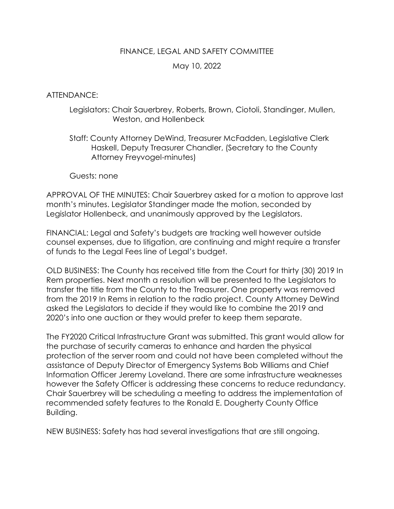## FINANCE, LEGAL AND SAFETY COMMITTEE

# May 10, 2022

# ATTENDANCE:

## Legislators: Chair Sauerbrey, Roberts, Brown, Ciotoli, Standinger, Mullen, Weston, and Hollenbeck

Staff: County Attorney DeWind, Treasurer McFadden, Legislative Clerk Haskell, Deputy Treasurer Chandler, (Secretary to the County Attorney Freyvogel-minutes)

#### Guests: none

APPROVAL OF THE MINUTES: Chair Sauerbrey asked for a motion to approve last month's minutes. Legislator Standinger made the motion, seconded by Legislator Hollenbeck, and unanimously approved by the Legislators.

FINANCIAL: Legal and Safety's budgets are tracking well however outside counsel expenses, due to litigation, are continuing and might require a transfer of funds to the Legal Fees line of Legal's budget.

OLD BUSINESS: The County has received title from the Court for thirty (30) 2019 In Rem properties. Next month a resolution will be presented to the Legislators to transfer the title from the County to the Treasurer. One property was removed from the 2019 In Rems in relation to the radio project. County Attorney DeWind asked the Legislators to decide if they would like to combine the 2019 and 2020's into one auction or they would prefer to keep them separate.

The FY2020 Critical Infrastructure Grant was submitted. This grant would allow for the purchase of security cameras to enhance and harden the physical protection of the server room and could not have been completed without the assistance of Deputy Director of Emergency Systems Bob Williams and Chief Information Officer Jeremy Loveland. There are some infrastructure weaknesses however the Safety Officer is addressing these concerns to reduce redundancy. Chair Sauerbrey will be scheduling a meeting to address the implementation of recommended safety features to the Ronald E. Dougherty County Office Building.

NEW BUSINESS: Safety has had several investigations that are still ongoing.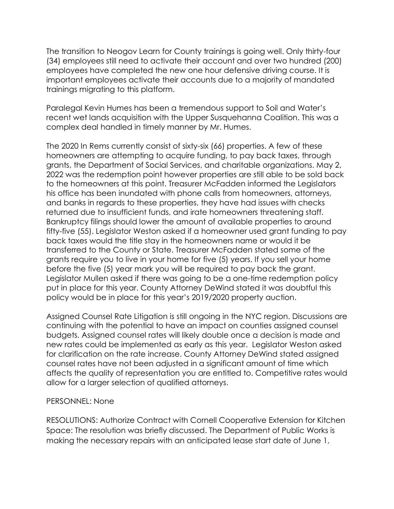The transition to Neogov Learn for County trainings is going well. Only thirty-four (34) employees still need to activate their account and over two hundred (200) employees have completed the new one hour defensive driving course. It is important employees activate their accounts due to a majority of mandated trainings migrating to this platform.

Paralegal Kevin Humes has been a tremendous support to Soil and Water's recent wet lands acquisition with the Upper Susquehanna Coalition. This was a complex deal handled in timely manner by Mr. Humes.

The 2020 In Rems currently consist of sixty-six (66) properties. A few of these homeowners are attempting to acquire funding, to pay back taxes, through grants, the Department of Social Services, and charitable organizations. May 2, 2022 was the redemption point however properties are still able to be sold back to the homeowners at this point. Treasurer McFadden informed the Legislators his office has been inundated with phone calls from homeowners, attorneys, and banks in regards to these properties, they have had issues with checks returned due to insufficient funds, and irate homeowners threatening staff. Bankruptcy filings should lower the amount of available properties to around fifty-five (55). Legislator Weston asked if a homeowner used grant funding to pay back taxes would the title stay in the homeowners name or would it be transferred to the County or State. Treasurer McFadden stated some of the grants require you to live in your home for five (5) years. If you sell your home before the five (5) year mark you will be required to pay back the grant. Legislator Mullen asked if there was going to be a one-time redemption policy put in place for this year. County Attorney DeWind stated it was doubtful this policy would be in place for this year's 2019/2020 property auction.

Assigned Counsel Rate Litigation is still ongoing in the NYC region. Discussions are continuing with the potential to have an impact on counties assigned counsel budgets. Assigned counsel rates will likely double once a decision is made and new rates could be implemented as early as this year. Legislator Weston asked for clarification on the rate increase. County Attorney DeWind stated assigned counsel rates have not been adjusted in a significant amount of time which affects the quality of representation you are entitled to. Competitive rates would allow for a larger selection of qualified attorneys.

# PERSONNEL: None

RESOLUTIONS: Authorize Contract with Cornell Cooperative Extension for Kitchen Space: The resolution was briefly discussed. The Department of Public Works is making the necessary repairs with an anticipated lease start date of June 1,